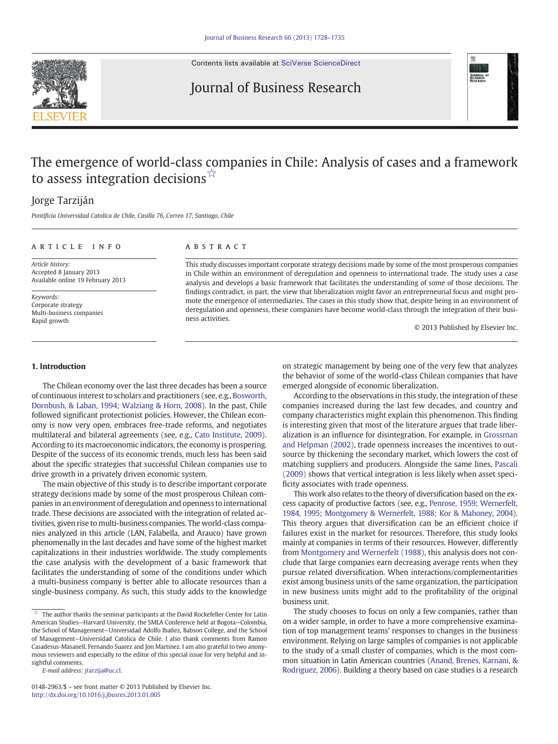Contents lists available at [SciVerse ScienceDirect](http://www.sciencedirect.com/science/journal/01482963)





# The emergence of world-class companies in Chile: Analysis of cases and a framework to assess integration decisions<sup>☆</sup>

## Jorge Tarziján

Pontificia Universidad Catolica de Chile, Casilla 76, Correo 17, Santiago, Chile

## ARTICLE INFO ABSTRACT

Article history: Accepted 8 January 2013 Available online 19 February 2013

Keywords: Corporate strategy Multi-business companies Rapid growth

This study discusses important corporate strategy decisions made by some of the most prosperous companies in Chile within an environment of deregulation and openness to international trade. The study uses a case analysis and develops a basic framework that facilitates the understanding of some of those decisions. The findings contradict, in part, the view that liberalization might favor an entrepreneurial focus and might promote the emergence of intermediaries. The cases in this study show that, despite being in an environment of deregulation and openness, these companies have become world-class through the integration of their business activities.

© 2013 Published by Elsevier Inc.

### 1. Introduction

The Chilean economy over the last three decades has been a source of continuous interest to scholars and practitioners (see, e.g., [Bosworth,](#page--1-0) [Dornbush, & Laban, 1994; Walziang & Horn, 2008](#page--1-0)). In the past, Chile followed significant protectionist policies. However, the Chilean economy is now very open, embraces free-trade reforms, and negotiates multilateral and bilateral agreements (see, e.g., [Cato Institute, 2009](#page--1-0)). According to its macroeconomic indicators, the economy is prospering. Despite of the success of its economic trends, much less has been said about the specific strategies that successful Chilean companies use to drive growth in a privately driven economic system.

The main objective of this study is to describe important corporate strategy decisions made by some of the most prosperous Chilean companies in an environment of deregulation and openness to international trade. These decisions are associated with the integration of related activities, given rise to multi-business companies. The world-class companies analyzed in this article (LAN, Falabella, and Arauco) have grown phenomenally in the last decades and have some of the highest market capitalizations in their industries worldwide. The study complements the case analysis with the development of a basic framework that facilitates the understanding of some of the conditions under which a multi-business company is better able to allocate resources than a single-business company. As such, this study adds to the knowledge

on strategic management by being one of the very few that analyzes the behavior of some of the world-class Chilean companies that have emerged alongside of economic liberalization.

According to the observations in this study, the integration of these companies increased during the last few decades, and country and company characteristics might explain this phenomenon. This finding is interesting given that most of the literature argues that trade liberalization is an influence for disintegration. For example, in [Grossman](#page--1-0) [and Helpman \(2002\),](#page--1-0) trade openness increases the incentives to outsource by thickening the secondary market, which lowers the cost of matching suppliers and producers. Alongside the same lines, [Pascali](#page--1-0) [\(2009\)](#page--1-0) shows that vertical integration is less likely when asset specificity associates with trade openness.

This work also relates to the theory of diversification based on the excess capacity of productive factors (see, e.g., [Penrose, 1959; Wernerfelt,](#page--1-0) [1984, 1995; Montgomery & Wernerfelt, 1988; Kor & Mahoney, 2004\)](#page--1-0). This theory argues that diversification can be an efficient choice if failures exist in the market for resources. Therefore, this study looks mainly at companies in terms of their resources. However, differently from [Montgomery and Wernerfelt \(1988\)](#page--1-0), this analysis does not conclude that large companies earn decreasing average rents when they pursue related diversification. When interactions/complementarities exist among business units of the same organization, the participation in new business units might add to the profitability of the original business unit.

The study chooses to focus on only a few companies, rather than on a wider sample, in order to have a more comprehensive examination of top management teams' responses to changes in the business environment. Relying on large samples of companies is not applicable to the study of a small cluster of companies, which is the most common situation in Latin American countries ([Anand, Brenes, Karnani, &](#page--1-0) [Rodriguez, 2006](#page--1-0)). Building a theory based on case studies is a research

 $\overrightarrow{x}$  The author thanks the seminar participants at the David Rockefeller Center for Latin American Studies—Harvard University, the SMLA Conference held at Bogota—Colombia, the School of Management—Universidad Adolfo Ibañez, Babson College, and the School of Management—Universidad Catolica de Chile. I also thank comments from Ramon Casadesus-Masanell, Fernando Suarez and Jon Martinez. I am also grateful to two anonymous reviewers and especially to the editor of this special issue for very helpful and insightful comments.

E-mail address: [jtarzija@uc.cl.](mailto:jtarzija@uc.cl)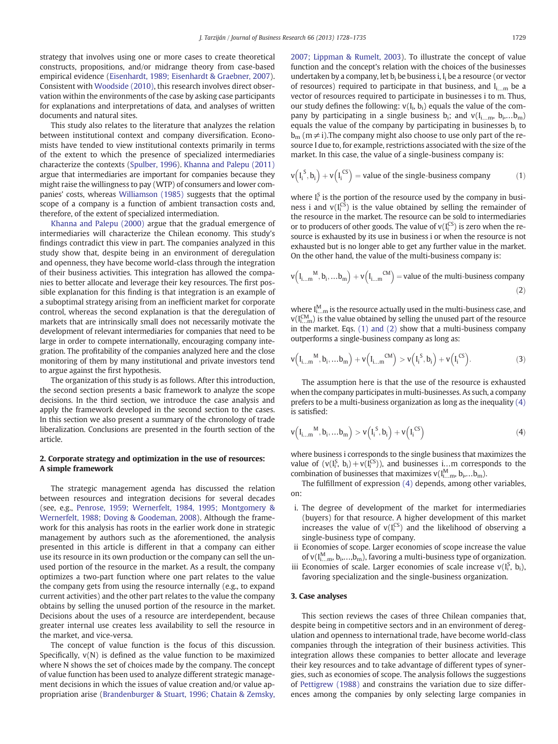strategy that involves using one or more cases to create theoretical constructs, propositions, and/or midrange theory from case-based empirical evidence [\(Eisenhardt, 1989; Eisenhardt & Graebner, 2007](#page--1-0)). Consistent with [Woodside \(2010\)](#page--1-0), this research involves direct observation within the environments of the case by asking case participants for explanations and interpretations of data, and analyses of written documents and natural sites.

This study also relates to the literature that analyzes the relation between institutional context and company diversification. Economists have tended to view institutional contexts primarily in terms of the extent to which the presence of specialized intermediaries characterize the contexts [\(Spulber, 1996\)](#page--1-0). [Khanna and Palepu \(2011\)](#page--1-0) argue that intermediaries are important for companies because they might raise the willingness to pay (WTP) of consumers and lower companies' costs, whereas [Williamson \(1985\)](#page--1-0) suggests that the optimal scope of a company is a function of ambient transaction costs and, therefore, of the extent of specialized intermediation.

[Khanna and Palepu \(2000\)](#page--1-0) argue that the gradual emergence of intermediaries will characterize the Chilean economy. This study's findings contradict this view in part. The companies analyzed in this study show that, despite being in an environment of deregulation and openness, they have become world-class through the integration of their business activities. This integration has allowed the companies to better allocate and leverage their key resources. The first possible explanation for this finding is that integration is an example of a suboptimal strategy arising from an inefficient market for corporate control, whereas the second explanation is that the deregulation of markets that are intrinsically small does not necessarily motivate the development of relevant intermediaries for companies that need to be large in order to compete internationally, encouraging company integration. The profitability of the companies analyzed here and the close monitoring of them by many institutional and private investors tend to argue against the first hypothesis.

The organization of this study is as follows. After this introduction, the second section presents a basic framework to analyze the scope decisions. In the third section, we introduce the case analysis and apply the framework developed in the second section to the cases. In this section we also present a summary of the chronology of trade liberalization. Conclusions are presented in the fourth section of the article.

### 2. Corporate strategy and optimization in the use of resources: A simple framework

The strategic management agenda has discussed the relation between resources and integration decisions for several decades (see, e.g., [Penrose, 1959; Wernerfelt, 1984, 1995; Montgomery &](#page--1-0) [Wernerfelt, 1988; Doving & Goodeman, 2008\)](#page--1-0). Although the framework for this analysis has roots in the earlier work done in strategic management by authors such as the aforementioned, the analysis presented in this article is different in that a company can either use its resource in its own production or the company can sell the unused portion of the resource in the market. As a result, the company optimizes a two-part function where one part relates to the value the company gets from using the resource internally (e.g., to expand current activities) and the other part relates to the value the company obtains by selling the unused portion of the resource in the market. Decisions about the uses of a resource are interdependent, because greater internal use creates less availability to sell the resource in the market, and vice-versa.

The concept of value function is the focus of this discussion. Specifically, v(N) is defined as the value function to be maximized where N shows the set of choices made by the company. The concept of value function has been used to analyze different strategic management decisions in which the issues of value creation and/or value appropriation arise ([Brandenburger & Stuart, 1996; Chatain & Zemsky,](#page--1-0) [2007; Lippman & Rumelt, 2003](#page--1-0)). To illustrate the concept of value function and the concept's relation with the choices of the businesses undertaken by a company, let  $b_i$  be business i,  $I_i$  be a resource (or vector of resources) required to participate in that business, and  $I_{i,m}$  be a vector of resources required to participate in businesses i to m. Thus, our study defines the following:  $v(I_i, b_i)$  equals the value of the company by participating in a single business  $b_i$ ; and  $v(I_{i...m}, b_i, \ldots, b_m)$ equals the value of the company by participating in businesses  $b_i$  to  $b_m$  ( $m \neq i$ ). The company might also choose to use only part of the resource I due to, for example, restrictions associated with the size of the market. In this case, the value of a single-business company is:

$$
v(l_i^S, b_i) + v(l_i^{CS}) = \text{value of the single-business company} \tag{1}
$$

where  $I_i^S$  is the portion of the resource used by the company in business i and  $v(I_i^{CS})$  is the value obtained by selling the remainder of the resource in the market. The resource can be sold to intermediaries or to producers of other goods. The value of  $v(I_i^{CS})$  is zero when the resource is exhausted by its use in business i or when the resource is not exhausted but is no longer able to get any further value in the market. On the other hand, the value of the multi-business company is:

$$
v(I_{i...m}^M, b_i, ... b_m) + v(I_{i...m}^M) = value of the multi-business company
$$
 (2)

where  $I_{i...m}^M$  is the resource actually used in the multi-business case, and  $v(I_{i...m}^{CM})$  is the value obtained by selling the unused part of the resource in the market. Eqs. (1) and (2) show that a multi-business company outperforms a single-business company as long as:

$$
v\Big(I_{i\dots m}{}^M, b_i,\dots b_m\Big)+v\Big(I_{i\dots m}{}^{CM}\Big)>v\Big(I_i^{\;S},b_i\Big)+v\Big(I_i^{\;CS}\Big). \hspace{1.5cm} (3)
$$

The assumption here is that the use of the resource is exhausted when the company participates in multi-businesses. As such, a company prefers to be a multi-business organization as long as the inequality (4) is satisfied:

$$
v\Big(I_{i\dots m}{}^M, b_i \dots b_m\Big)>v\Big(I_i{}^S, b_i\Big)+v\Big(I_i{}^{CS}\Big) \hspace{1.5cm}(4)
$$

where business i corresponds to the single business that maximizes the value of  $(v(I_i^S, b_i) + v(I_i^{CS}))$ , and businesses i...m corresponds to the combination of businesses that maximizes  $v(I_{i...m}^M, b_i, \ldots, b_m)$ .

The fulfillment of expression (4) depends, among other variables, on:

- i. The degree of development of the market for intermediaries (buyers) for that resource. A higher development of this market increases the value of  $v(I_i^{CS})$  and the likelihood of observing a single-business type of company.
- ii Economies of scope. Larger economies of scope increase the value of v( $I_{i...m}^{M}$ ,  $b_i$ ,..., $b_m$ ), favoring a multi-business type of organization.
- iii Economies of scale. Larger economies of scale increase  $v(I_i^S, b_i)$ , favoring specialization and the single-business organization.

### 3. Case analyses

This section reviews the cases of three Chilean companies that, despite being in competitive sectors and in an environment of deregulation and openness to international trade, have become world-class companies through the integration of their business activities. This integration allows these companies to better allocate and leverage their key resources and to take advantage of different types of synergies, such as economies of scope. The analysis follows the suggestions of [Pettigrew \(1988\)](#page--1-0) and constrains the variation due to size differences among the companies by only selecting large companies in